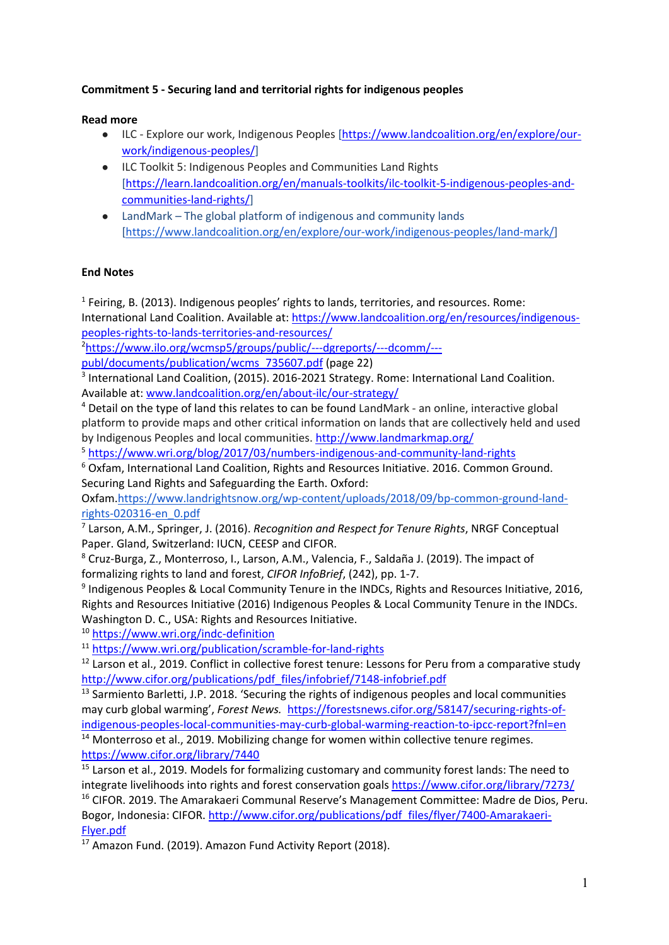## **Commitment 5 - Securing land and territorial rights for indigenous peoples**

## **Read more**

- ILC Explore our work, Indigenous Peoples [https://www.landcoalition.org/en/explore/ourwork/indigenous-peoples/]
- ILC Toolkit 5: Indigenous Peoples and Communities Land Rights [https://learn.landcoalition.org/en/manuals-toolkits/ilc-toolkit-5-indigenous-peoples-andcommunities-land-rights/]
- LandMark The global platform of indigenous and community lands [https://www.landcoalition.org/en/explore/our-work/indigenous-peoples/land-mark/]

## **End Notes**

 $1$  Feiring, B. (2013). Indigenous peoples' rights to lands, territories, and resources. Rome:

International Land Coalition. Available at: https://www.landcoalition.org/en/resources/indigenouspeoples-rights-to-lands-territories-and-resources/

2 https://www.ilo.org/wcmsp5/groups/public/---dgreports/---dcomm/-- publ/documents/publication/wcms\_735607.pdf (page 22)

<sup>3</sup> International Land Coalition, (2015). 2016-2021 Strategy. Rome: International Land Coalition. Available at: www.landcoalition.org/en/about-ilc/our-strategy/

<sup>4</sup> Detail on the type of land this relates to can be found LandMark - an online, interactive global platform to provide maps and other critical information on lands that are collectively held and used by Indigenous Peoples and local communities. http://www.landmarkmap.org/

<sup>5</sup> https://www.wri.org/blog/2017/03/numbers-indigenous-and-community-land-rights

<sup>6</sup> Oxfam, International Land Coalition, Rights and Resources Initiative. 2016. Common Ground. Securing Land Rights and Safeguarding the Earth. Oxford:

Oxfam.https://www.landrightsnow.org/wp-content/uploads/2018/09/bp-common-ground-landrights-020316-en\_0.pdf

<sup>7</sup> Larson, A.M., Springer, J. (2016). *Recognition and Respect for Tenure Rights*, NRGF Conceptual Paper. Gland, Switzerland: IUCN, CEESP and CIFOR.

<sup>8</sup> Cruz-Burga, Z., Monterroso, I., Larson, A.M., Valencia, F., Saldaña J. (2019). The impact of formalizing rights to land and forest, *CIFOR InfoBrief*, (242), pp. 1-7.

<sup>9</sup> Indigenous Peoples & Local Community Tenure in the INDCs, Rights and Resources Initiative, 2016, Rights and Resources Initiative (2016) Indigenous Peoples & Local Community Tenure in the INDCs. Washington D. C., USA: Rights and Resources Initiative.

<sup>10</sup> https://www.wri.org/indc-definition

<sup>11</sup> https://www.wri.org/publication/scramble-for-land-rights

<sup>12</sup> Larson et al., 2019. Conflict in collective forest tenure: Lessons for Peru from a comparative study http://www.cifor.org/publications/pdf\_files/infobrief/7148-infobrief.pdf

<sup>13</sup> Sarmiento Barletti, J.P. 2018. 'Securing the rights of indigenous peoples and local communities may curb global warming', *Forest News.* https://forestsnews.cifor.org/58147/securing-rights-ofindigenous-peoples-local-communities-may-curb-global-warming-reaction-to-ipcc-report?fnl=en

<sup>14</sup> Monterroso et al., 2019. Mobilizing change for women within collective tenure regimes. https://www.cifor.org/library/7440

<sup>15</sup> Larson et al., 2019. Models for formalizing customary and community forest lands: The need to integrate livelihoods into rights and forest conservation goals https://www.cifor.org/library/7273/ <sup>16</sup> CIFOR. 2019. The Amarakaeri Communal Reserve's Management Committee: Madre de Dios, Peru. Bogor, Indonesia: CIFOR. http://www.cifor.org/publications/pdf\_files/flyer/7400-Amarakaeri-Flyer.pdf

<sup>17</sup> Amazon Fund. (2019). Amazon Fund Activity Report (2018).